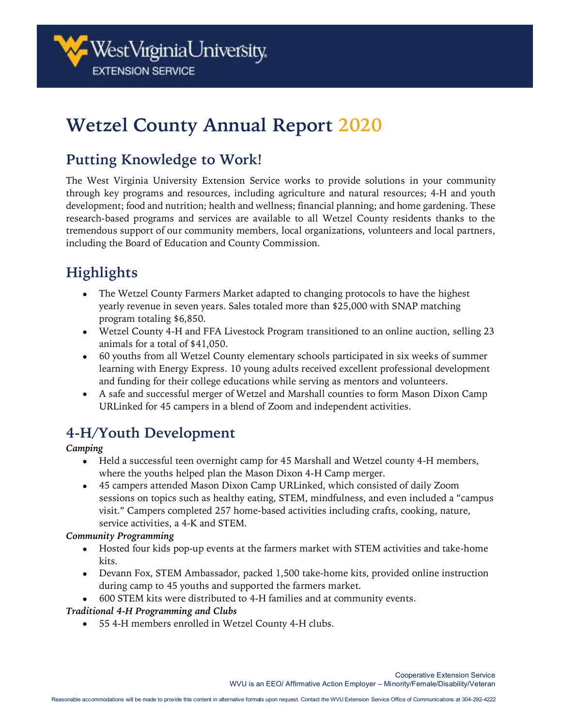# **Wetzel County Annual Report 2020**

## **Putting Knowledge to Work!**

The West Virginia University Extension Service works to provide solutions in your community through key programs and resources, including agriculture and natural resources; 4-H and youth development; food and nutrition; health and wellness; financial planning; and home gardening. These research-based programs and services are available to all Wetzel County residents thanks to the tremendous support of our community members, local organizations, volunteers and local partners, including the Board of Education and County Commission.

# **Highlights**

- The Wetzel County Farmers Market adapted to changing protocols to have the highest yearly revenue in seven years. Sales totaled more than \$25,000 with SNAP matching program totaling \$6,850.
- Wetzel County 4-H and FFA Livestock Program transitioned to an online auction, selling 23 animals for a total of \$41,050.
- 60 youths from all Wetzel County elementary schools participated in six weeks of summer learning with Energy Express. 10 young adults received excellent professional development and funding for their college educations while serving as mentors and volunteers.
- A safe and successful merger of Wetzel and Marshall counties to form Mason Dixon Camp URLinked for 45 campers in a blend of Zoom and independent activities.

## **4-H/Youth Development**

#### *Camping*

- Held a successful teen overnight camp for 45 Marshall and Wetzel county 4-H members, where the youths helped plan the Mason Dixon 4-H Camp merger.
- 45 campers attended Mason Dixon Camp URLinked, which consisted of daily Zoom sessions on topics such as healthy eating, STEM, mindfulness, and even included a "campus visit." Campers completed 257 home-based activities including crafts, cooking, nature, service activities, a 4-K and STEM.

#### *Community Programming*

- Hosted four kids pop-up events at the farmers market with STEM activities and take-home kits.
- Devann Fox, STEM Ambassador, packed 1,500 take-home kits, provided online instruction during camp to 45 youths and supported the farmers market.
- 600 STEM kits were distributed to 4-H families and at community events.

#### *Traditional 4-H Programming and Clubs*

• 55 4-H members enrolled in Wetzel County 4-H clubs.